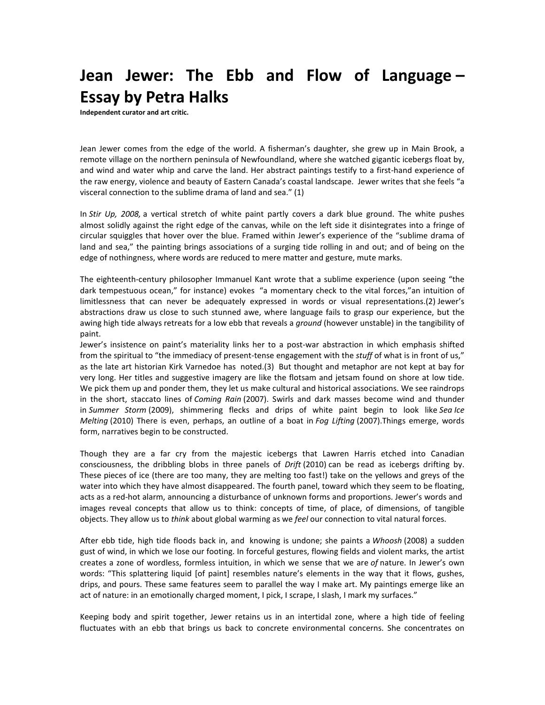## **Jean Jewer: The Ebb and Flow of Language – Essay by Petra Halks**

**Independent curator and art critic.**

Jean Jewer comes from the edge of the world. A fisherman's daughter, she grew up in Main Brook, a remote village on the northern peninsula of Newfoundland, where she watched gigantic icebergs float by, and wind and water whip and carve the land. Her abstract paintings testify to a first-hand experience of the raw energy, violence and beauty of Eastern Canada's coastal landscape. Jewer writes that she feels "a visceral connection to the sublime drama of land and sea." (1)

In *Stir Up, 2008,* a vertical stretch of white paint partly covers a dark blue ground. The white pushes almost solidly against the right edge of the canvas, while on the left side it disintegrates into a fringe of circular squiggles that hover over the blue. Framed within Jewer's experience of the "sublime drama of land and sea," the painting brings associations of a surging tide rolling in and out; and of being on the edge of nothingness, where words are reduced to mere matter and gesture, mute marks.

The eighteenth-century philosopher Immanuel Kant wrote that a sublime experience (upon seeing "the dark tempestuous ocean," for instance) evokes "a momentary check to the vital forces,"an intuition of limitlessness that can never be adequately expressed in words or visual representations.(2) Jewer's abstractions draw us close to such stunned awe, where language fails to grasp our experience, but the awing high tide always retreats for a low ebb that reveals a *ground* (however unstable) in the tangibility of paint.

Jewer's insistence on paint's materiality links her to a post-war abstraction in which emphasis shifted from the spiritual to "the immediacy of present-tense engagement with the *stuff* of what is in front of us," as the late art historian Kirk Varnedoe has noted.(3) But thought and metaphor are not kept at bay for very long. Her titles and suggestive imagery are like the flotsam and jetsam found on shore at low tide. We pick them up and ponder them, they let us make cultural and historical associations. We see raindrops in the short, staccato lines of *Coming Rain* (2007). Swirls and dark masses become wind and thunder in *Summer Storm* (2009), shimmering flecks and drips of white paint begin to look like *Sea Ice Melting* (2010) There is even, perhaps, an outline of a boat in *Fog Lifting* (2007).Things emerge, words form, narratives begin to be constructed.

Though they are a far cry from the majestic icebergs that Lawren Harris etched into Canadian consciousness, the dribbling blobs in three panels of *Drift* (2010) can be read as icebergs drifting by. These pieces of ice (there are too many, they are melting too fast!) take on the yellows and greys of the water into which they have almost disappeared. The fourth panel, toward which they seem to be floating, acts as a red-hot alarm, announcing a disturbance of unknown forms and proportions. Jewer's words and images reveal concepts that allow us to think: concepts of time, of place, of dimensions, of tangible objects. They allow us to *think* about global warming as we *feel* our connection to vital natural forces.

After ebb tide, high tide floods back in, and knowing is undone; she paints a *Whoosh* (2008) a sudden gust of wind, in which we lose our footing. In forceful gestures, flowing fields and violent marks, the artist creates a zone of wordless, formless intuition, in which we sense that we are *of* nature. In Jewer's own words: "This splattering liquid [of paint] resembles nature's elements in the way that it flows, gushes, drips, and pours. These same features seem to parallel the way I make art. My paintings emerge like an act of nature: in an emotionally charged moment, I pick, I scrape, I slash, I mark my surfaces."

Keeping body and spirit together, Jewer retains us in an intertidal zone, where a high tide of feeling fluctuates with an ebb that brings us back to concrete environmental concerns. She concentrates on